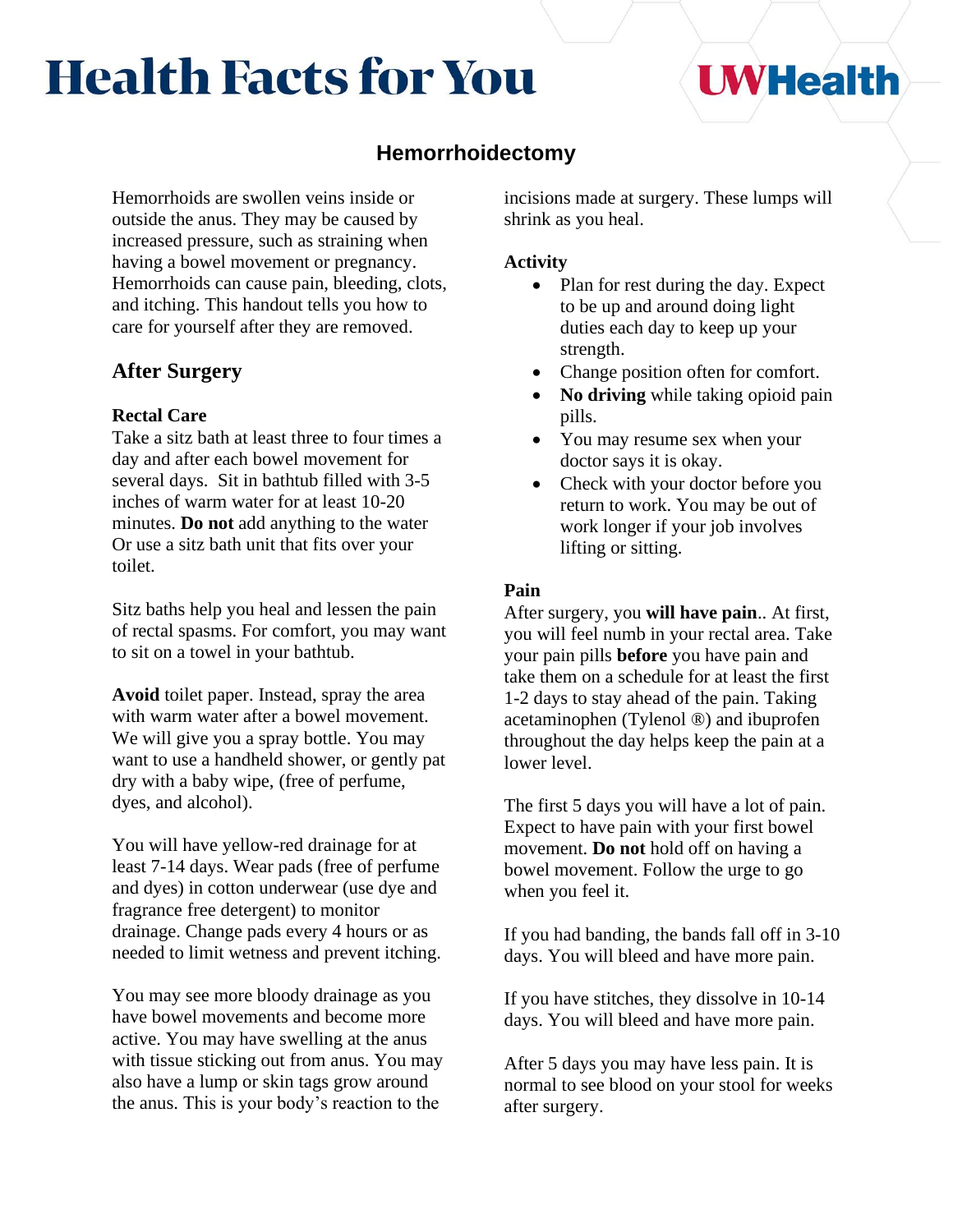# **Health Facts for You**

# **I WHealth**

## **Hemorrhoidectomy**

Hemorrhoids are swollen veins inside or outside the anus. They may be caused by increased pressure, such as straining when having a bowel movement or pregnancy. Hemorrhoids can cause pain, bleeding, clots, and itching. This handout tells you how to care for yourself after they are removed.

### **After Surgery**

#### **Rectal Care**

Take a sitz bath at least three to four times a day and after each bowel movement for several days. Sit in bathtub filled with 3-5 inches of warm water for at least 10-20 minutes. **Do not** add anything to the water Or use a sitz bath unit that fits over your toilet.

Sitz baths help you heal and lessen the pain of rectal spasms. For comfort, you may want to sit on a towel in your bathtub.

**Avoid** toilet paper. Instead, spray the area with warm water after a bowel movement. We will give you a spray bottle. You may want to use a handheld shower, or gently pat dry with a baby wipe, (free of perfume, dyes, and alcohol).

You will have yellow-red drainage for at least 7-14 days. Wear pads (free of perfume and dyes) in cotton underwear (use dye and fragrance free detergent) to monitor drainage. Change pads every 4 hours or as needed to limit wetness and prevent itching.

You may see more bloody drainage as you have bowel movements and become more active. You may have swelling at the anus with tissue sticking out from anus. You may also have a lump or skin tags grow around the anus. This is your body's reaction to the

incisions made at surgery. These lumps will shrink as you heal.

#### **Activity**

- Plan for rest during the day. Expect to be up and around doing light duties each day to keep up your strength.
- Change position often for comfort.
- **No driving** while taking opioid pain pills.
- You may resume sex when your doctor says it is okay.
- Check with your doctor before you return to work. You may be out of work longer if your job involves lifting or sitting.

#### **Pain**

After surgery, you **will have pain**.. At first, you will feel numb in your rectal area. Take your pain pills **before** you have pain and take them on a schedule for at least the first 1-2 days to stay ahead of the pain. Taking acetaminophen (Tylenol ®) and ibuprofen throughout the day helps keep the pain at a lower level.

The first 5 days you will have a lot of pain. Expect to have pain with your first bowel movement. **Do not** hold off on having a bowel movement. Follow the urge to go when you feel it.

If you had banding, the bands fall off in 3-10 days. You will bleed and have more pain.

If you have stitches, they dissolve in 10-14 days. You will bleed and have more pain.

After 5 days you may have less pain. It is normal to see blood on your stool for weeks after surgery.